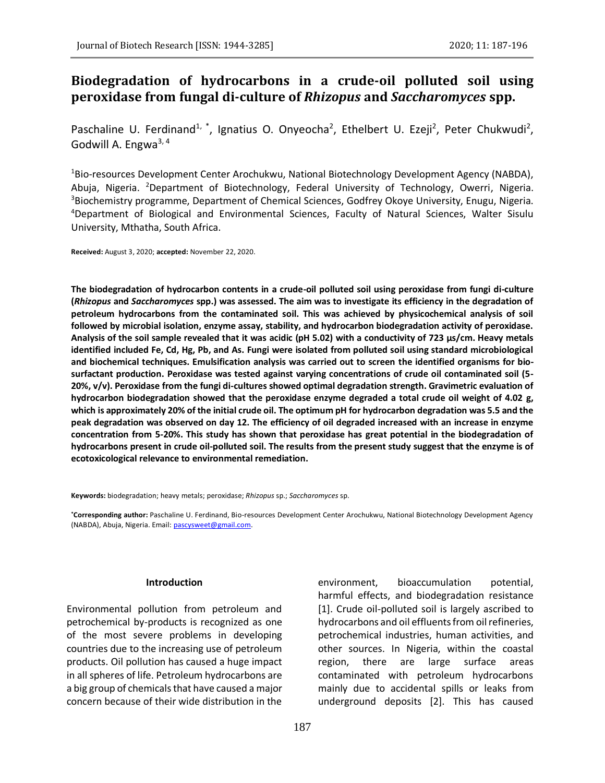# **Biodegradation of hydrocarbons in a crude-oil polluted soil using peroxidase from fungal di-culture of** *Rhizopus* **and** *Saccharomyces* **spp.**

Paschaline U. Ferdinand<sup>1, \*</sup>, Ignatius O. Onyeocha<sup>2</sup>, Ethelbert U. Ezeji<sup>2</sup>, Peter Chukwudi<sup>2</sup>, Godwill A. Engwa3, 4

<sup>1</sup>Bio-resources Development Center Arochukwu, National Biotechnology Development Agency (NABDA), Abuja, Nigeria. <sup>2</sup>Department of Biotechnology, Federal University of Technology, Owerri, Nigeria. <sup>3</sup>Biochemistry programme, Department of Chemical Sciences, Godfrey Okoye University, Enugu, Nigeria. <sup>4</sup>Department of Biological and Environmental Sciences, Faculty of Natural Sciences, Walter Sisulu University, Mthatha, South Africa.

**Received:** August 3, 2020; **accepted:** November 22, 2020.

**The biodegradation of hydrocarbon contents in a crude-oil polluted soil using peroxidase from fungi di-culture (***Rhizopus* **and** *Saccharomyces* **spp.) was assessed. The aim was to investigate its efficiency in the degradation of petroleum hydrocarbons from the contaminated soil. This was achieved by physicochemical analysis of soil followed by microbial isolation, enzyme assay, stability, and hydrocarbon biodegradation activity of peroxidase. Analysis of the soil sample revealed that it was acidic (pH 5.02) with a conductivity of 723 µs/cm. Heavy metals identified included Fe, Cd, Hg, Pb, and As. Fungi were isolated from polluted soil using standard microbiological and biochemical techniques. Emulsification analysis was carried out to screen the identified organisms for biosurfactant production. Peroxidase was tested against varying concentrations of crude oil contaminated soil (5- 20%, v/v). Peroxidase from the fungi di-cultures showed optimal degradation strength. Gravimetric evaluation of hydrocarbon biodegradation showed that the peroxidase enzyme degraded a total crude oil weight of 4.02 g, which is approximately 20% of the initial crude oil. The optimum pH for hydrocarbon degradation was 5.5 and the peak degradation was observed on day 12. The efficiency of oil degraded increased with an increase in enzyme concentration from 5-20%. This study has shown that peroxidase has great potential in the biodegradation of hydrocarbons present in crude oil-polluted soil. The results from the present study suggest that the enzyme is of ecotoxicological relevance to environmental remediation.**

**Keywords:** biodegradation; heavy metals; peroxidase; *Rhizopus* sp.; *Saccharomyces* sp.

**\*Corresponding author:** Paschaline U. Ferdinand, Bio-resources Development Center Arochukwu, National Biotechnology Development Agency (NABDA), Abuja, Nigeria. Email[: pascysweet@gmail.com.](mailto:pascysweet@gmail.com)

### **Introduction**

Environmental pollution from petroleum and petrochemical by-products is recognized as one of the most severe problems in developing countries due to the increasing use of petroleum products. Oil pollution has caused a huge impact in all spheres of life. Petroleum hydrocarbons are a big group of chemicals that have caused a major concern because of their wide distribution in the

environment, bioaccumulation potential, harmful effects, and biodegradation resistance [1]. Crude oil-polluted soil is largely ascribed to hydrocarbons and oil effluents from oil refineries, petrochemical industries, human activities, and other sources. In Nigeria, within the coastal region, there are large surface areas contaminated with petroleum hydrocarbons mainly due to accidental spills or leaks from underground deposits [2]. This has caused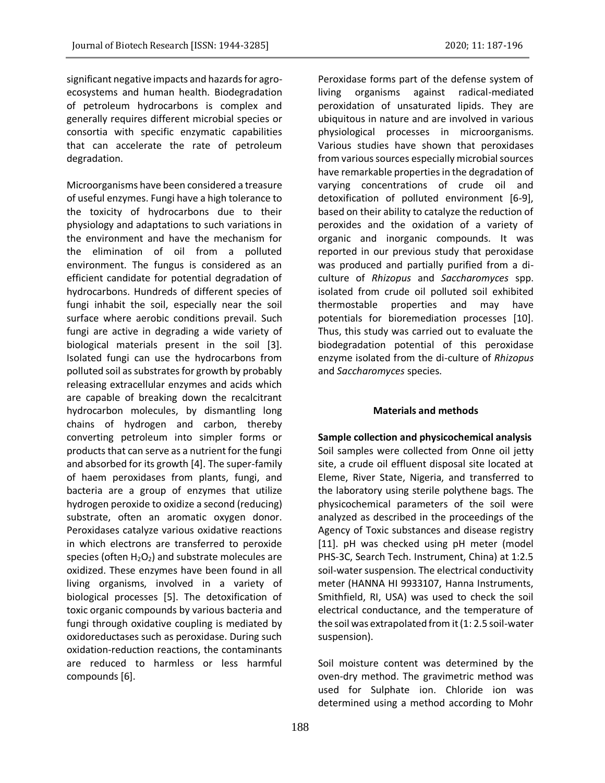significant negative impacts and hazards for agroecosystems and human health. Biodegradation of petroleum hydrocarbons is complex and generally requires different microbial species or consortia with specific enzymatic capabilities that can accelerate the rate of petroleum degradation.

Microorganisms have been considered a treasure of useful enzymes. Fungi have a high tolerance to the toxicity of hydrocarbons due to their physiology and adaptations to such variations in the environment and have the mechanism for the elimination of oil from a polluted environment. The fungus is considered as an efficient candidate for potential degradation of hydrocarbons. Hundreds of different species of fungi inhabit the soil, especially near the soil surface where aerobic conditions prevail. Such fungi are active in degrading a wide variety of biological materials present in the soil [3]. Isolated fungi can use the hydrocarbons from polluted soil as substrates for growth by probably releasing extracellular enzymes and acids which are capable of breaking down the recalcitrant hydrocarbon molecules, by dismantling long chains of hydrogen and carbon, thereby converting petroleum into simpler forms or products that can serve as a nutrient for the fungi and absorbed for its growth [4]. The super-family of haem peroxidases from plants, fungi, and bacteria are a group of enzymes that utilize hydrogen peroxide to oxidize a second (reducing) substrate, often an aromatic oxygen donor. Peroxidases catalyze various oxidative reactions in which electrons are transferred to peroxide species (often  $H_2O_2$ ) and substrate molecules are oxidized. These enzymes have been found in all living organisms, involved in a variety of biological processes [5]. The detoxification of toxic organic compounds by various bacteria and fungi through oxidative coupling is mediated by oxidoreductases such as peroxidase. During such oxidation-reduction reactions, the contaminants are reduced to harmless or less harmful compounds [6].

Peroxidase forms part of the defense system of living organisms against radical-mediated peroxidation of unsaturated lipids. They are ubiquitous in nature and are involved in various physiological processes in microorganisms. Various studies have shown that peroxidases from various sources especially microbial sources have remarkable properties in the degradation of varying concentrations of crude oil and detoxification of polluted environment [6-9], based on their ability to catalyze the reduction of peroxides and the oxidation of a variety of organic and inorganic compounds. It was reported in our previous study that peroxidase was produced and partially purified from a diculture of *Rhizopus* and *Saccharomyces* spp. isolated from crude oil polluted soil exhibited thermostable properties and may have potentials for bioremediation processes [10]. Thus, this study was carried out to evaluate the biodegradation potential of this peroxidase enzyme isolated from the di-culture of *Rhizopus* and *Saccharomyces* species.

### **Materials and methods**

**Sample collection and physicochemical analysis** Soil samples were collected from Onne oil jetty site, a crude oil effluent disposal site located at Eleme, River State, Nigeria, and transferred to the laboratory using sterile polythene bags. The physicochemical parameters of the soil were analyzed as described in the proceedings of the Agency of Toxic substances and disease registry [11]. pH was checked using pH meter (model PHS-3C, Search Tech. Instrument, China) at 1:2.5 soil-water suspension. The electrical conductivity meter (HANNA HI 9933107, Hanna Instruments, Smithfield, RI, USA) was used to check the soil electrical conductance, and the temperature of the soil was extrapolated from it (1: 2.5 soil-water suspension).

Soil moisture content was determined by the oven-dry method. The gravimetric method was used for Sulphate ion. Chloride ion was determined using a method according to Mohr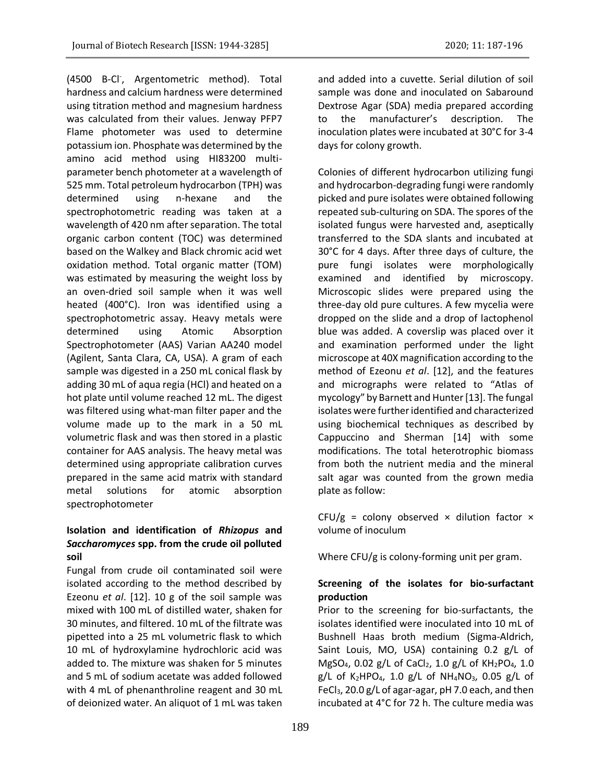(4500 B-Cl- , Argentometric method). Total hardness and calcium hardness were determined using titration method and magnesium hardness was calculated from their values. Jenway PFP7 Flame photometer was used to determine potassium ion. Phosphate was determined by the amino acid method using HI83200 multiparameter bench photometer at a wavelength of 525 mm. Total petroleum hydrocarbon (TPH) was determined using n-hexane and the spectrophotometric reading was taken at a wavelength of 420 nm after separation. The total organic carbon content (TOC) was determined based on the Walkey and Black chromic acid wet oxidation method. Total organic matter (TOM) was estimated by measuring the weight loss by an oven-dried soil sample when it was well heated (400°C). Iron was identified using a spectrophotometric assay. Heavy metals were determined using Atomic Absorption Spectrophotometer (AAS) Varian AA240 model (Agilent, Santa Clara, CA, USA). A gram of each sample was digested in a 250 mL conical flask by adding 30 mL of aqua regia (HCl) and heated on a hot plate until volume reached 12 mL. The digest was filtered using what-man filter paper and the volume made up to the mark in a 50 mL volumetric flask and was then stored in a plastic container for AAS analysis. The heavy metal was determined using appropriate calibration curves prepared in the same acid matrix with standard metal solutions for atomic absorption spectrophotometer

# **Isolation and identification of** *Rhizopus* **and**  *Saccharomyces* **spp. from the crude oil polluted soil**

Fungal from crude oil contaminated soil were isolated according to the method described by Ezeonu *et al*. [12]. 10 g of the soil sample was mixed with 100 mL of distilled water, shaken for 30 minutes, and filtered. 10 mL of the filtrate was pipetted into a 25 mL volumetric flask to which 10 mL of hydroxylamine hydrochloric acid was added to. The mixture was shaken for 5 minutes and 5 mL of sodium acetate was added followed with 4 mL of phenanthroline reagent and 30 mL of deionized water. An aliquot of 1 mL was taken

and added into a cuvette. Serial dilution of soil sample was done and inoculated on Sabaround Dextrose Agar (SDA) media prepared according to the manufacturer's description. The inoculation plates were incubated at 30°C for 3-4 days for colony growth.

Colonies of different hydrocarbon utilizing fungi and hydrocarbon-degrading fungi were randomly picked and pure isolates were obtained following repeated sub-culturing on SDA. The spores of the isolated fungus were harvested and, aseptically transferred to the SDA slants and incubated at 30°C for 4 days. After three days of culture, the pure fungi isolates were morphologically examined and identified by microscopy. Microscopic slides were prepared using the three-day old pure cultures. A few mycelia were dropped on the slide and a drop of lactophenol blue was added. A coverslip was placed over it and examination performed under the light microscope at 40X magnification according to the method of Ezeonu *et al*. [12], and the features and micrographs were related to "Atlas of mycology" by Barnett and Hunter [13]. The fungal isolates were further identified and characterized using biochemical techniques as described by Cappuccino and Sherman [14] with some modifications. The total heterotrophic biomass from both the nutrient media and the mineral salt agar was counted from the grown media plate as follow:

CFU/g = colony observed  $\times$  dilution factor  $\times$ volume of inoculum

Where CFU/g is colony-forming unit per gram.

# **Screening of the isolates for bio-surfactant production**

Prior to the screening for bio-surfactants, the isolates identified were inoculated into 10 mL of Bushnell Haas broth medium (Sigma-Aldrich, Saint Louis, MO, USA) containing 0.2 g/L of MgSO<sub>4</sub>, 0.02 g/L of CaCl<sub>2</sub>, 1.0 g/L of KH<sub>2</sub>PO<sub>4</sub>, 1.0 g/L of K<sub>2</sub>HPO<sub>4</sub>, 1.0 g/L of NH<sub>4</sub>NO<sub>3</sub>, 0.05 g/L of FeCl<sub>3</sub>, 20.0 g/L of agar-agar, pH 7.0 each, and then incubated at 4°C for 72 h. The culture media was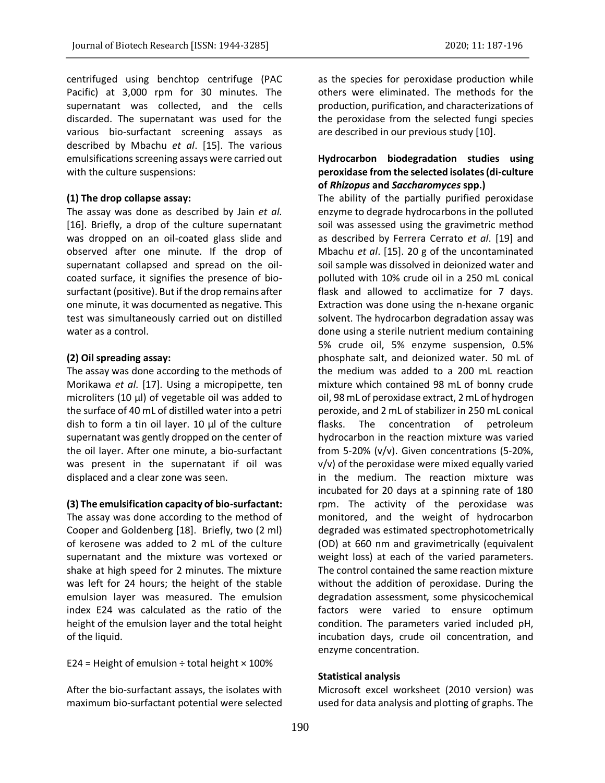centrifuged using benchtop centrifuge (PAC Pacific) at 3,000 rpm for 30 minutes. The supernatant was collected, and the cells discarded. The supernatant was used for the various bio-surfactant screening assays as described by Mbachu *et al*. [15]. The various emulsifications screening assays were carried out with the culture suspensions:

#### **(1) The drop collapse assay:**

The assay was done as described by Jain *et al.* [16]. Briefly, a drop of the culture supernatant was dropped on an oil-coated glass slide and observed after one minute. If the drop of supernatant collapsed and spread on the oilcoated surface, it signifies the presence of biosurfactant (positive). But if the drop remains after one minute, it was documented as negative. This test was simultaneously carried out on distilled water as a control.

#### **(2) Oil spreading assay:**

The assay was done according to the methods of Morikawa *et al*. [17]. Using a micropipette, ten microliters (10 μl) of vegetable oil was added to the surface of 40 mL of distilled water into a petri dish to form a tin oil layer. 10 μl of the culture supernatant was gently dropped on the center of the oil layer. After one minute, a bio-surfactant was present in the supernatant if oil was displaced and a clear zone was seen.

#### **(3) The emulsification capacity of bio-surfactant:**

The assay was done according to the method of Cooper and Goldenberg [18]. Briefly, two (2 ml) of kerosene was added to 2 mL of the culture supernatant and the mixture was vortexed or shake at high speed for 2 minutes. The mixture was left for 24 hours; the height of the stable emulsion layer was measured. The emulsion index E24 was calculated as the ratio of the height of the emulsion layer and the total height of the liquid.

E24 = Height of emulsion  $\div$  total height  $\times$  100%

After the bio-surfactant assays, the isolates with maximum bio-surfactant potential were selected as the species for peroxidase production while others were eliminated. The methods for the production, purification, and characterizations of the peroxidase from the selected fungi species are described in our previous study [10].

## **Hydrocarbon biodegradation studies using peroxidase from the selected isolates (di-culture of** *Rhizopus* **and** *Saccharomyces* **spp.)**

The ability of the partially purified peroxidase enzyme to degrade hydrocarbons in the polluted soil was assessed using the gravimetric method as described by Ferrera Cerrato *et al*. [19] and Mbachu *et al*. [15]. 20 g of the uncontaminated soil sample was dissolved in deionized water and polluted with 10% crude oil in a 250 mL conical flask and allowed to acclimatize for 7 days. Extraction was done using the n-hexane organic solvent. The hydrocarbon degradation assay was done using a sterile nutrient medium containing 5% crude oil, 5% enzyme suspension, 0.5% phosphate salt, and deionized water. 50 mL of the medium was added to a 200 mL reaction mixture which contained 98 mL of bonny crude oil, 98 mL of peroxidase extract, 2 mL of hydrogen peroxide, and 2 mL of stabilizer in 250 mL conical flasks. The concentration of petroleum hydrocarbon in the reaction mixture was varied from 5-20% (v/v). Given concentrations (5-20%, v/v) of the peroxidase were mixed equally varied in the medium. The reaction mixture was incubated for 20 days at a spinning rate of 180 rpm. The activity of the peroxidase was monitored, and the weight of hydrocarbon degraded was estimated spectrophotometrically (OD) at 660 nm and gravimetrically (equivalent weight loss) at each of the varied parameters. The control contained the same reaction mixture without the addition of peroxidase. During the degradation assessment, some physicochemical factors were varied to ensure optimum condition. The parameters varied included pH, incubation days, crude oil concentration, and enzyme concentration.

### **Statistical analysis**

Microsoft excel worksheet (2010 version) was used for data analysis and plotting of graphs. The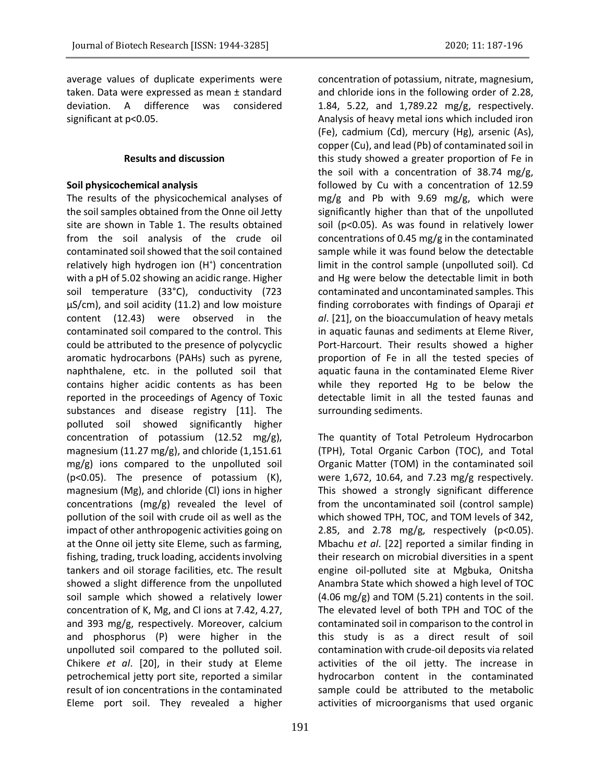average values of duplicate experiments were taken. Data were expressed as mean ± standard deviation. A difference was considered significant at p<0.05.

### **Results and discussion**

### **Soil physicochemical analysis**

The results of the physicochemical analyses of the soil samples obtained from the Onne oil Jetty site are shown in Table 1. The results obtained from the soil analysis of the crude oil contaminated soil showed that the soil contained relatively high hydrogen ion (H<sup>+</sup>) concentration with a pH of 5.02 showing an acidic range. Higher soil temperature (33°C), conductivity (723 µS/cm), and soil acidity (11.2) and low moisture content (12.43) were observed in the contaminated soil compared to the control. This could be attributed to the presence of polycyclic aromatic hydrocarbons (PAHs) such as pyrene, naphthalene, etc. in the polluted soil that contains higher acidic contents as has been reported in the proceedings of Agency of Toxic substances and disease registry [11]. The polluted soil showed significantly higher concentration of potassium (12.52 mg/g), magnesium (11.27 mg/g), and chloride  $(1,151.61)$ mg/g) ions compared to the unpolluted soil (p<0.05). The presence of potassium (K), magnesium (Mg), and chloride (Cl) ions in higher concentrations (mg/g) revealed the level of pollution of the soil with crude oil as well as the impact of other anthropogenic activities going on at the Onne oil jetty site Eleme, such as farming, fishing, trading, truck loading, accidents involving tankers and oil storage facilities, etc. The result showed a slight difference from the unpolluted soil sample which showed a relatively lower concentration of K, Mg, and Cl ions at 7.42, 4.27, and 393 mg/g, respectively. Moreover, calcium and phosphorus (P) were higher in the unpolluted soil compared to the polluted soil. Chikere *et al*. [20], in their study at Eleme petrochemical jetty port site, reported a similar result of ion concentrations in the contaminated Eleme port soil. They revealed a higher

concentration of potassium, nitrate, magnesium, and chloride ions in the following order of 2.28, 1.84, 5.22, and 1,789.22 mg/g, respectively. Analysis of heavy metal ions which included iron (Fe), cadmium (Cd), mercury (Hg), arsenic (As), copper (Cu), and lead (Pb) of contaminated soil in this study showed a greater proportion of Fe in the soil with a concentration of 38.74 mg/g, followed by Cu with a concentration of 12.59 mg/g and Pb with 9.69 mg/g, which were significantly higher than that of the unpolluted soil (p<0.05). As was found in relatively lower concentrations of 0.45 mg/g in the contaminated sample while it was found below the detectable limit in the control sample (unpolluted soil). Cd and Hg were below the detectable limit in both contaminated and uncontaminated samples. This finding corroborates with findings of Oparaji *et al*. [21], on the bioaccumulation of heavy metals in aquatic faunas and sediments at Eleme River, Port-Harcourt. Their results showed a higher proportion of Fe in all the tested species of aquatic fauna in the contaminated Eleme River while they reported Hg to be below the detectable limit in all the tested faunas and surrounding sediments.

The quantity of Total Petroleum Hydrocarbon (TPH), Total Organic Carbon (TOC), and Total Organic Matter (TOM) in the contaminated soil were 1,672, 10.64, and 7.23 mg/g respectively. This showed a strongly significant difference from the uncontaminated soil (control sample) which showed TPH, TOC, and TOM levels of 342, 2.85, and 2.78 mg/g, respectively ( $p<0.05$ ). Mbachu *et al*. [22] reported a similar finding in their research on microbial diversities in a spent engine oil-polluted site at Mgbuka, Onitsha Anambra State which showed a high level of TOC  $(4.06 \text{ mg/g})$  and TOM  $(5.21)$  contents in the soil. The elevated level of both TPH and TOC of the contaminated soil in comparison to the control in this study is as a direct result of soil contamination with crude-oil deposits via related activities of the oil jetty. The increase in hydrocarbon content in the contaminated sample could be attributed to the metabolic activities of microorganisms that used organic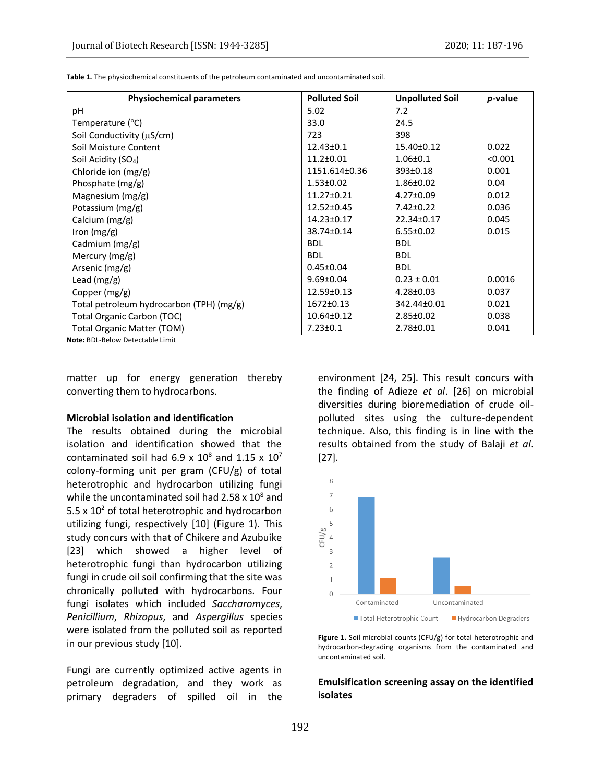**Table 1.** The physiochemical constituents of the petroleum contaminated and uncontaminated soil.

| <b>Physiochemical parameters</b>         | <b>Polluted Soil</b> | <b>Unpolluted Soil</b> | <i>p</i> -value |
|------------------------------------------|----------------------|------------------------|-----------------|
| рH                                       | 5.02                 | 7.2                    |                 |
| Temperature $(^{\circ}C)$                | 33.0                 | 24.5                   |                 |
| Soil Conductivity (µS/cm)                | 723                  | 398                    |                 |
| Soil Moisture Content                    | $12.43 \pm 0.1$      | $15.40 \pm 0.12$       | 0.022           |
| Soil Acidity (SO <sub>4</sub> )          | $11.2 \pm 0.01$      | $1.06 \pm 0.1$         | < 0.001         |
| Chloride ion $(mg/g)$                    | 1151.614±0.36        | 393±0.18               | 0.001           |
| Phosphate $(mg/g)$                       | $1.53 \pm 0.02$      | $1.86 \pm 0.02$        | 0.04            |
| Magnesium $(mg/g)$                       | $11.27 \pm 0.21$     | 4.27±0.09              | 0.012           |
| Potassium $(mg/g)$                       | 12.52±0.45           | $7.42 \pm 0.22$        | 0.036           |
| Calcium (mg/g)                           | $14.23 \pm 0.17$     | 22.34±0.17             | 0.045           |
| Iron $(mg/g)$                            | 38.74±0.14           | $6.55 \pm 0.02$        | 0.015           |
| Cadmium $(mg/g)$                         | <b>BDL</b>           | <b>BDL</b>             |                 |
| Mercury $(mg/g)$                         | <b>BDL</b>           | <b>BDL</b>             |                 |
| Arsenic (mg/g)                           | $0.45 \pm 0.04$      | <b>BDL</b>             |                 |
| Lead $(mg/g)$                            | $9.69 \pm 0.04$      | $0.23 \pm 0.01$        | 0.0016          |
| Copper $(mg/g)$                          | 12.59±0.13           | $4.28 \pm 0.03$        | 0.037           |
| Total petroleum hydrocarbon (TPH) (mg/g) | $1672 \pm 0.13$      | 342.44±0.01            | 0.021           |
| Total Organic Carbon (TOC)               | $10.64 \pm 0.12$     | $2.85 \pm 0.02$        | 0.038           |
| <b>Total Organic Matter (TOM)</b>        | $7.23 \pm 0.1$       | 2.78±0.01              | 0.041           |

**Note:** BDL-Below Detectable Limit

matter up for energy generation thereby converting them to hydrocarbons.

#### **Microbial isolation and identification**

The results obtained during the microbial isolation and identification showed that the contaminated soil had  $6.9 \times 10^8$  and  $1.15 \times 10^7$ colony-forming unit per gram (CFU/g) of total heterotrophic and hydrocarbon utilizing fungi while the uncontaminated soil had  $2.58 \times 10^8$  and 5.5  $\times$  10<sup>2</sup> of total heterotrophic and hydrocarbon utilizing fungi, respectively [10] (Figure 1). This study concurs with that of Chikere and Azubuike [23] which showed a higher level of heterotrophic fungi than hydrocarbon utilizing fungi in crude oil soil confirming that the site was chronically polluted with hydrocarbons. Four fungi isolates which included *Saccharomyces*, *Penicillium*, *Rhizopus*, and *Aspergillus* species were isolated from the polluted soil as reported in our previous study [10].

Fungi are currently optimized active agents in petroleum degradation, and they work as primary degraders of spilled oil in the

environment [24, 25]. This result concurs with the finding of Adieze *et al*. [26] on microbial diversities during bioremediation of crude oilpolluted sites using the culture-dependent technique. Also, this finding is in line with the results obtained from the study of Balaji *et al*. [27].



Figure 1. Soil microbial counts (CFU/g) for total heterotrophic and hydrocarbon-degrading organisms from the contaminated and uncontaminated soil.

### **Emulsification screening assay on the identified isolates**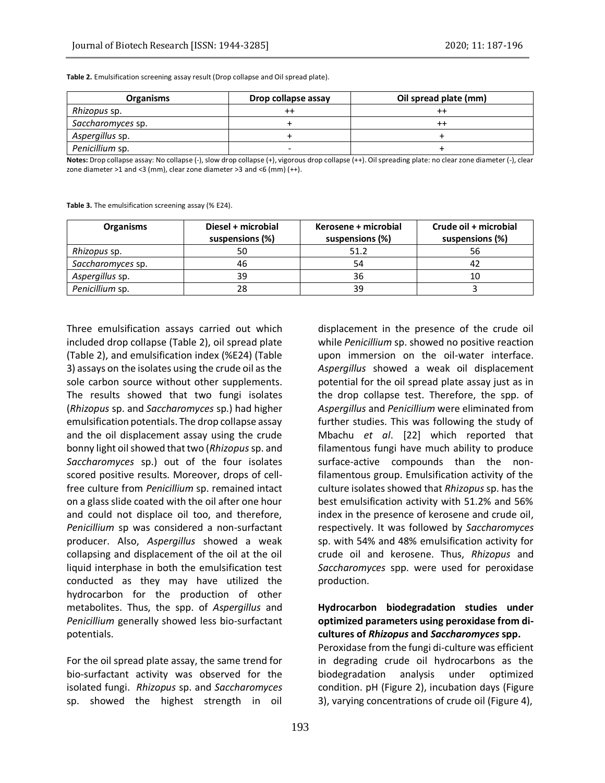**Table 2.** Emulsification screening assay result (Drop collapse and Oil spread plate).

| <b>Organisms</b>  | Drop collapse assay | Oil spread plate (mm) |
|-------------------|---------------------|-----------------------|
| Rhizopus sp.      |                     |                       |
| Saccharomyces sp. |                     | $^{\mathrm{+}}$       |
| Aspergillus sp.   |                     |                       |
| Penicillium sp.   |                     |                       |

**Notes:** Drop collapse assay: No collapse (-), slow drop collapse (+), vigorous drop collapse (++). Oil spreading plate: no clear zone diameter (-), clear zone diameter >1 and <3 (mm), clear zone diameter >3 and <6 (mm) (++).

**Table 3.** The emulsification screening assay (% E24).

| <b>Organisms</b>    | Diesel + microbial<br>suspensions (%) | Kerosene + microbial<br>suspensions (%) | Crude oil + microbial<br>suspensions (%) |
|---------------------|---------------------------------------|-----------------------------------------|------------------------------------------|
| <i>Rhizopus sp.</i> | 50                                    | 51.2                                    | 56                                       |
| Saccharomyces sp.   | 46                                    | 54                                      |                                          |
| Aspergillus sp.     | 39                                    | 36                                      | 10                                       |
| Penicillium sp.     | 28                                    | 39                                      |                                          |

Three emulsification assays carried out which included drop collapse (Table 2), oil spread plate (Table 2), and emulsification index (%E24) (Table 3) assays on the isolates using the crude oil as the sole carbon source without other supplements. The results showed that two fungi isolates (*Rhizopus* sp. and *Saccharomyces* sp.) had higher emulsification potentials. The drop collapse assay and the oil displacement assay using the crude bonny light oil showed that two (*Rhizopus*sp. and *Saccharomyces* sp.) out of the four isolates scored positive results. Moreover, drops of cellfree culture from *Penicillium* sp. remained intact on a glass slide coated with the oil after one hour and could not displace oil too, and therefore, *Penicillium* sp was considered a non-surfactant producer. Also, *Aspergillus* showed a weak collapsing and displacement of the oil at the oil liquid interphase in both the emulsification test conducted as they may have utilized the hydrocarbon for the production of other metabolites. Thus, the spp. of *Aspergillus* and *Penicillium* generally showed less bio-surfactant potentials.

For the oil spread plate assay, the same trend for bio-surfactant activity was observed for the isolated fungi. *Rhizopus* sp. and *Saccharomyces* sp. showed the highest strength in oil

displacement in the presence of the crude oil while *Penicillium* sp. showed no positive reaction upon immersion on the oil-water interface. *Aspergillus* showed a weak oil displacement potential for the oil spread plate assay just as in the drop collapse test. Therefore, the spp. of *Aspergillus* and *Penicillium* were eliminated from further studies. This was following the study of Mbachu *et al*. [22] which reported that filamentous fungi have much ability to produce surface-active compounds than the nonfilamentous group. Emulsification activity of the culture isolates showed that *Rhizopus* sp. has the best emulsification activity with 51.2% and 56% index in the presence of kerosene and crude oil, respectively. It was followed by *Saccharomyces* sp. with 54% and 48% emulsification activity for crude oil and kerosene. Thus, *Rhizopus* and *Saccharomyces* spp. were used for peroxidase production.

# **Hydrocarbon biodegradation studies under optimized parameters using peroxidase from dicultures of** *Rhizopus* **and** *Saccharomyces* **spp.**

Peroxidase from the fungi di-culture was efficient in degrading crude oil hydrocarbons as the biodegradation analysis under optimized condition. pH (Figure 2), incubation days (Figure 3), varying concentrations of crude oil (Figure 4),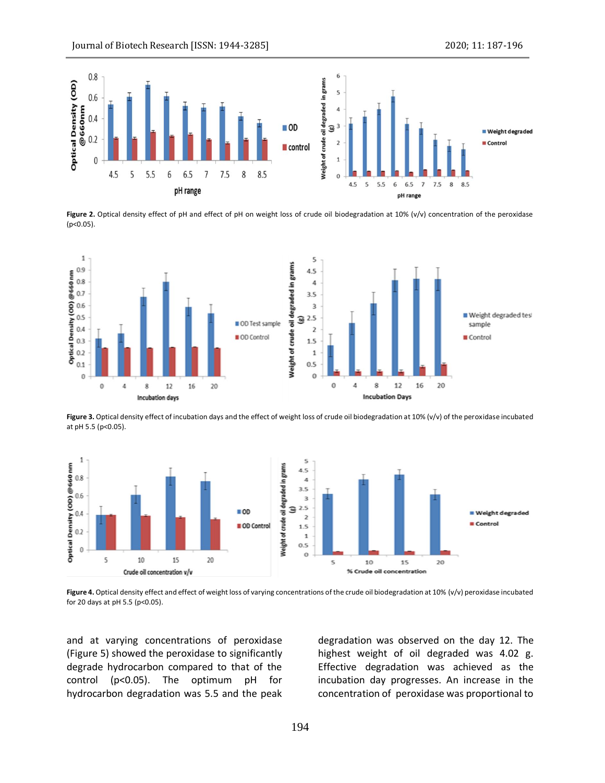

**Figure 2.** Optical density effect of pH and effect of pH on weight loss of crude oil biodegradation at 10% (v/v) concentration of the peroxidase (p<0.05).



Figure 3. Optical density effect of incubation days and the effect of weight loss of crude oil biodegradation at 10% (v/v) of the peroxidase incubated at pH 5.5 (p<0.05).



Figure 4. Optical density effect and effect of weight loss of varying concentrations of the crude oil biodegradation at 10% (v/v) peroxidase incubated for 20 days at pH 5.5 (p<0.05).

and at varying concentrations of peroxidase (Figure 5) showed the peroxidase to significantly degrade hydrocarbon compared to that of the control (p<0.05). The optimum pH for hydrocarbon degradation was 5.5 and the peak

degradation was observed on the day 12. The highest weight of oil degraded was 4.02 g. Effective degradation was achieved as the incubation day progresses. An increase in the concentration of peroxidase was proportional to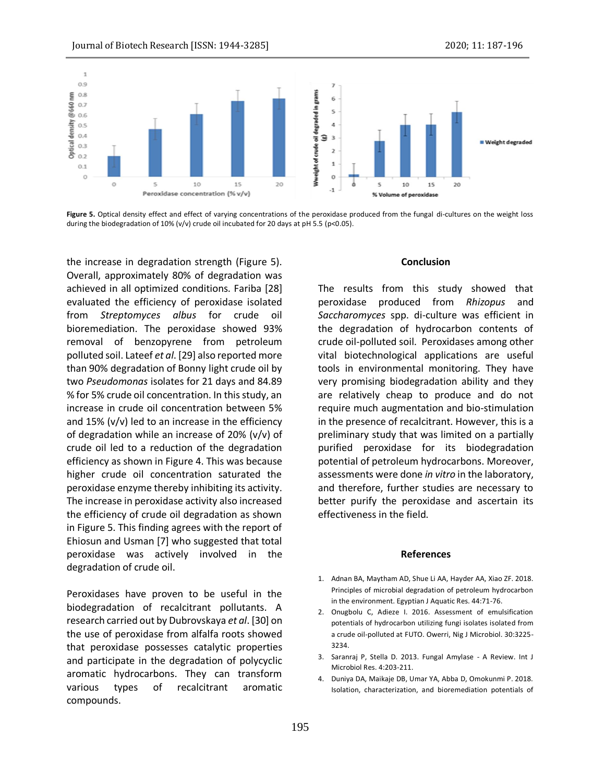

Figure 5. Optical density effect and effect of varying concentrations of the peroxidase produced from the fungal di-cultures on the weight loss during the biodegradation of 10% (v/v) crude oil incubated for 20 days at pH 5.5 (p<0.05).

the increase in degradation strength (Figure 5). Overall, approximately 80% of degradation was achieved in all optimized conditions. Fariba [28] evaluated the efficiency of peroxidase isolated from *Streptomyces albus* for crude oil bioremediation. The peroxidase showed 93% removal of benzopyrene from petroleum polluted soil. Lateef *et al*. [29] also reported more than 90% degradation of Bonny light crude oil by two *Pseudomonas* isolates for 21 days and 84.89 % for 5% crude oil concentration. In this study, an increase in crude oil concentration between 5% and 15% (v/v) led to an increase in the efficiency of degradation while an increase of 20% (v/v) of crude oil led to a reduction of the degradation efficiency as shown in Figure 4. This was because higher crude oil concentration saturated the peroxidase enzyme thereby inhibiting its activity. The increase in peroxidase activity also increased the efficiency of crude oil degradation as shown in Figure 5. This finding agrees with the report of Ehiosun and Usman [7] who suggested that total peroxidase was actively involved in the degradation of crude oil.

Peroxidases have proven to be useful in the biodegradation of recalcitrant pollutants. A research carried out by Dubrovskaya *et al*. [30] on the use of peroxidase from alfalfa roots showed that peroxidase possesses catalytic properties and participate in the degradation of polycyclic aromatic hydrocarbons. They can transform various types of recalcitrant aromatic compounds.

### **Conclusion**

The results from this study showed that peroxidase produced from *Rhizopus* and *Saccharomyces* spp. di-culture was efficient in the degradation of hydrocarbon contents of crude oil-polluted soil. Peroxidases among other vital biotechnological applications are useful tools in environmental monitoring. They have very promising biodegradation ability and they are relatively cheap to produce and do not require much augmentation and bio-stimulation in the presence of recalcitrant. However, this is a preliminary study that was limited on a partially purified peroxidase for its biodegradation potential of petroleum hydrocarbons. Moreover, assessments were done *in vitro* in the laboratory, and therefore, further studies are necessary to better purify the peroxidase and ascertain its effectiveness in the field.

#### **References**

- 1. Adnan BA, Maytham AD, Shue Li AA, Hayder AA, Xiao ZF. 2018. Principles of microbial degradation of petroleum hydrocarbon in the environment. Egyptian J Aquatic Res. 44:71-76.
- 2. Onugbolu C, Adieze I. 2016. Assessment of emulsification potentials of hydrocarbon utilizing fungi isolates isolated from a crude oil-polluted at FUTO. Owerri, Nig J Microbiol. 30:3225- 3234.
- 3. Saranraj P, Stella D. 2013. Fungal Amylase A Review. Int J Microbiol Res. 4:203-211.
- 4. Duniya DA, Maikaje DB, Umar YA, Abba D, Omokunmi P. 2018. Isolation, characterization, and bioremediation potentials of